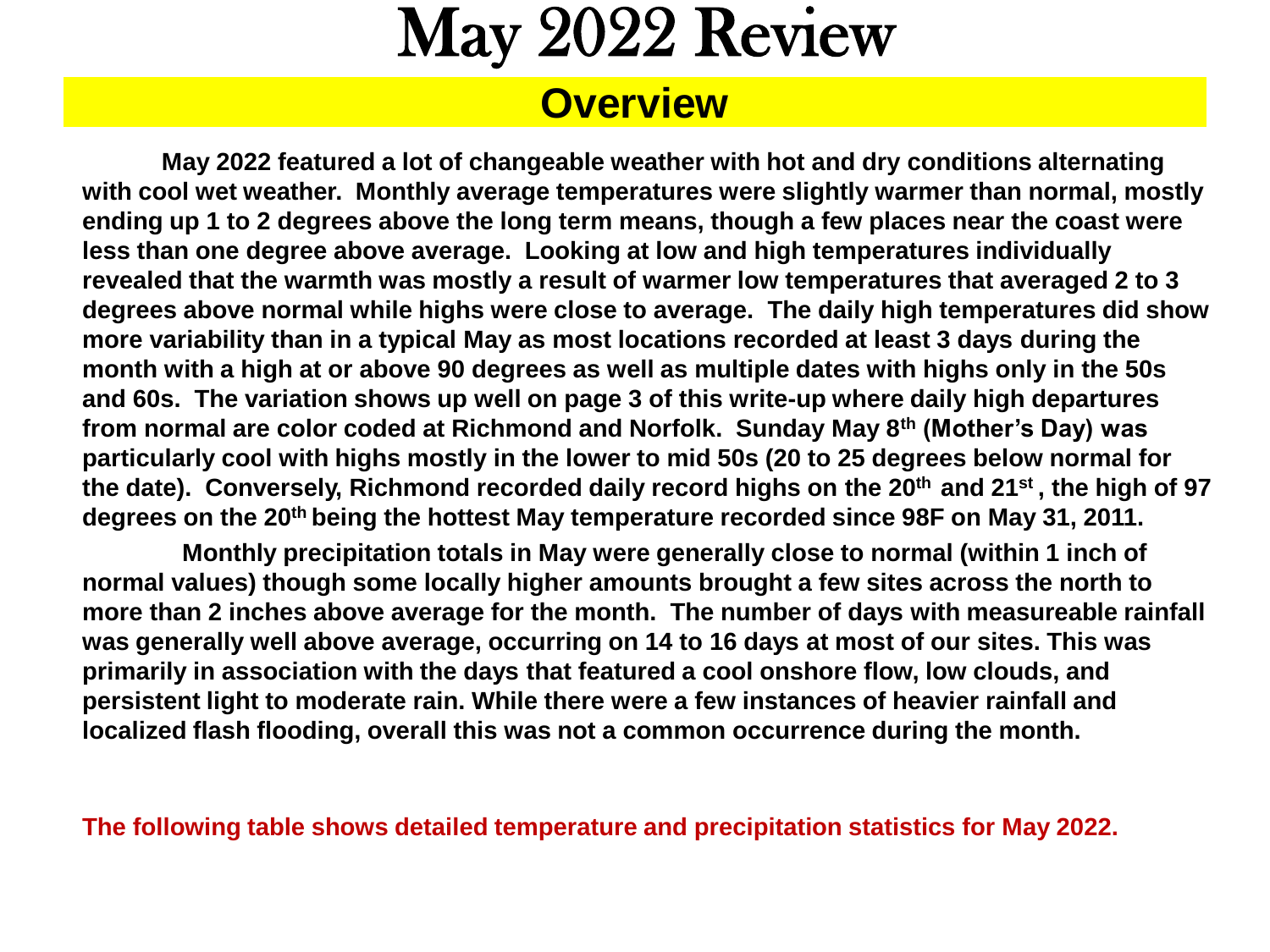# May 2022 Review

### **Overview**

**May 2022 featured a lot of changeable weather with hot and dry conditions alternating with cool wet weather. Monthly average temperatures were slightly warmer than normal, mostly ending up 1 to 2 degrees above the long term means, though a few places near the coast were less than one degree above average. Looking at low and high temperatures individually revealed that the warmth was mostly a result of warmer low temperatures that averaged 2 to 3 degrees above normal while highs were close to average. The daily high temperatures did show more variability than in a typical May as most locations recorded at least 3 days during the month with a high at or above 90 degrees as well as multiple dates with highs only in the 50s and 60s. The variation shows up well on page 3 of this write-up where daily high departures from normal are color coded at Richmond and Norfolk. Sunday May 8th (Mother's Day) was particularly cool with highs mostly in the lower to mid 50s (20 to 25 degrees below normal for the date). Conversely, Richmond recorded daily record highs on the 20th and 21st , the high of 97 degrees on the 20th being the hottest May temperature recorded since 98F on May 31, 2011.** 

**Monthly precipitation totals in May were generally close to normal (within 1 inch of normal values) though some locally higher amounts brought a few sites across the north to more than 2 inches above average for the month. The number of days with measureable rainfall was generally well above average, occurring on 14 to 16 days at most of our sites. This was primarily in association with the days that featured a cool onshore flow, low clouds, and persistent light to moderate rain. While there were a few instances of heavier rainfall and localized flash flooding, overall this was not a common occurrence during the month.** 

**The following table shows detailed temperature and precipitation statistics for May 2022.**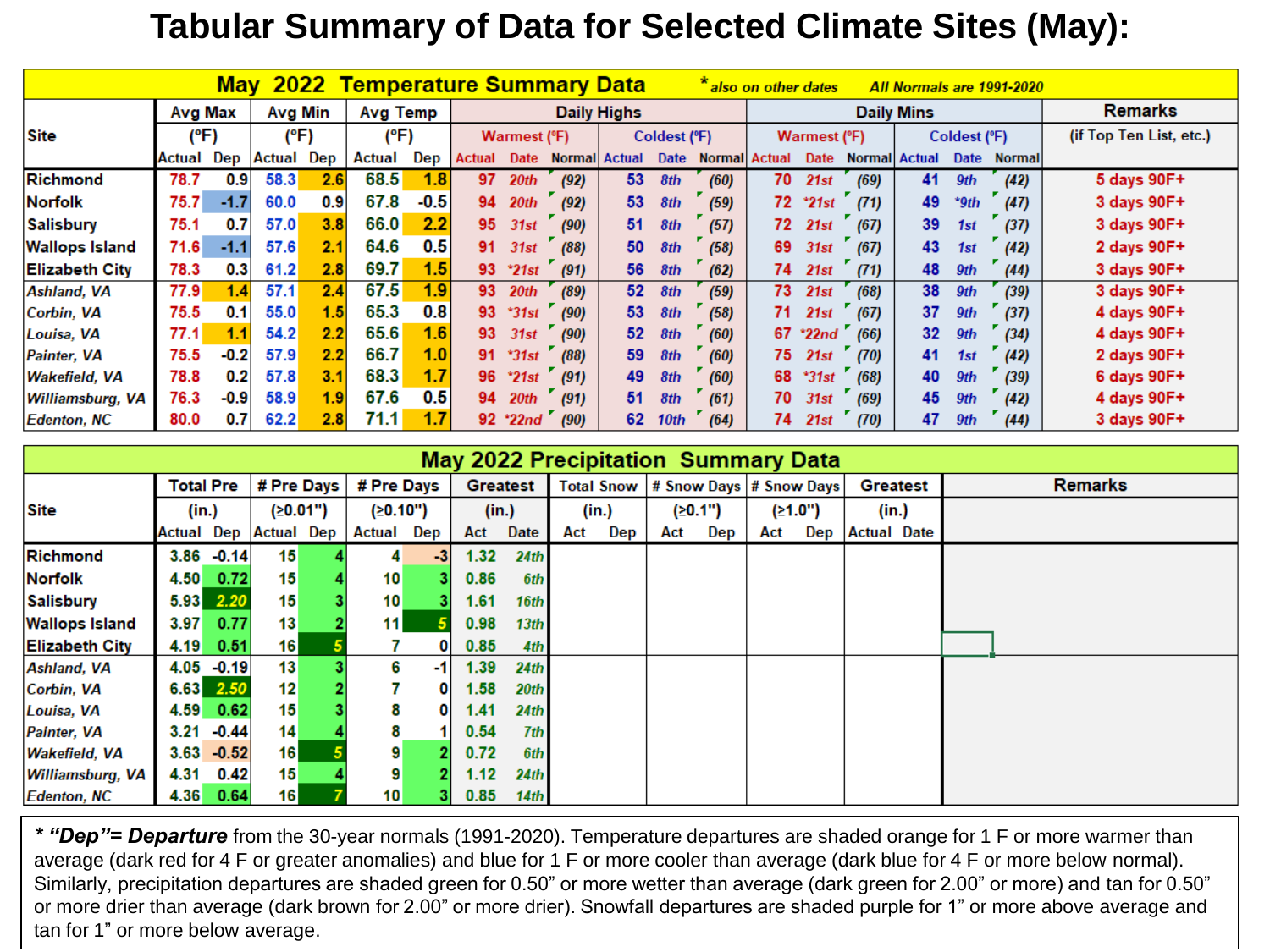### **Tabular Summary of Data for Selected Climate Sites (May):**

| <b>May 2022 Temperature Summary Data</b><br>also on other dates<br>All Normals are 1991-2020 |               |        |                |      |                 |        |                    |                  |      |                      |                  |                      |     |                      |                      |                   |              |               |                         |
|----------------------------------------------------------------------------------------------|---------------|--------|----------------|------|-----------------|--------|--------------------|------------------|------|----------------------|------------------|----------------------|-----|----------------------|----------------------|-------------------|--------------|---------------|-------------------------|
|                                                                                              | Avg Max       |        | <b>Avg Min</b> |      | <b>Avg Temp</b> |        | <b>Daily Highs</b> |                  |      |                      |                  |                      |     |                      |                      | <b>Daily Mins</b> |              |               | <b>Remarks</b>          |
| Site                                                                                         |               | (°F)   |                | (°F) |                 | (°F)   |                    | Warmest (°F)     |      |                      | Coldest (°F)     |                      |     | <b>Warmest (°F)</b>  |                      |                   | Coldest (°F) |               | (if Top Ten List, etc.) |
|                                                                                              | <b>Actual</b> | Dep    | Actual         | Dep  | Actual          | Dep    | <b>Actual</b>      | Date             |      | <b>Normal</b> Actual | Date             | <b>Normal Actual</b> |     | Date                 | <b>Normal Actual</b> |                   | Date         | <b>Normal</b> |                         |
| Richmond                                                                                     | 78.7          | 0.9    | 58.3           | 2.6  | 68.5            | 1.8    | 97                 | 20th             | (92) | 53                   | 8th              | (60)                 | 70  | 21st                 | (69)                 | 41                | 9th          | (42)          | 5 days 90F+             |
| <b>Norfolk</b>                                                                               | 75.7          | $-1.7$ | 60.0           | 0.9  | 67.8            | $-0.5$ | 94                 | 20 <sub>th</sub> | (92) | 53                   | 8th              | (59)                 |     | $72$ $21st$          | (71)                 | 49                | $*9th$       | (47)          | 3 days 90F+             |
| <b>Salisbury</b>                                                                             | 75.1          | 0.7    | 57.0           | 3.8  | 66.0            | 2.2    | 95                 | 31st             | (90) | 51                   | 8th              | (57)                 | 72. | 21st                 | (67)                 | 39                | 1st          | (37)          | 3 days 90F+             |
| <b>Wallops Island</b>                                                                        | 71.6          | $-1.1$ | 57.6           | 2.1  | 64.6            | 0.5    | 91                 | 31st             | (88) | 50                   | 8th              | (58)                 | 69  | 31st                 | (67)                 | 43                | 1st          | (42)          | 2 days 90F+             |
| <b>Elizabeth City</b>                                                                        | 78.3          | 0.3    | 61.2           | 2.8  | 69.7            | 1.5    | 93                 | $^*21st$         | (91) | 56                   | 8th              | (62)                 |     | 74 21st              | (71)                 | 48                | 9th          | (44)          | 3 days 90F+             |
| <b>Ashland, VA</b>                                                                           | 77.9          | 1.4    | 57.1           | 2.4  | 67.5            | 1.9    |                    | 93 20th          | (89) | 52 <sub>2</sub>      | 8th              | (59)                 |     | 73 21st              | (68)                 | 38                | 9th          | (39)          | 3 days 90F+             |
| Corbin, VA                                                                                   | 75.5          | 0.1    | 55.0           | 1.5  | 65.3            | 0.8    | 93                 | $*31st$          | (90) | 53                   | 8th              | (58)                 | 71. | 21st                 | (67)                 | 37                | 9th          | (37)          | 4 days 90F+             |
| Louisa, VA                                                                                   | 77.1          | 1.1    | 54.2           | 2.2  | 65.6            | 1.6    | 93                 | 31st             | (90) | 52                   | 8th              | (60)                 |     | $67$ $^{\circ}$ 22nd | (66)                 | 32 <sub>2</sub>   | 9th          | (34)          | 4 days 90F+             |
| Painter, VA                                                                                  | 75.5          | $-0.2$ | 57.9           | 2.2  | 66.7            | 1.0    | 91                 | $^*31st$         | (88) | 59                   | 8th              | (60)                 | 75. | 21st                 | (70)                 | 41                | 1st          | (42)          | 2 days 90F+             |
| <b>Wakefield, VA</b>                                                                         | 78.8          | 0.2    | 57.8           | 3.1  | 68.3            | 1.7    | 96                 | $^*21st$         | (91) | 49                   | 8th              | (60)                 | 68  | $*31st$              | (68)                 | 40                | 9th          | (39)          | 6 days 90F+             |
| Williamsburg, VA                                                                             | 76.3          | $-0.9$ | 58.9           | 1.9  | 67.6            | 0.5    | 94                 | 20 <sub>th</sub> | (91) | 51                   | 8th              | (61)                 | 70  | 31st                 | (69)                 | 45                | 9th          | (42)          | 4 days 90F+             |
| <b>Edenton, NC</b>                                                                           | 80.0          | 0.7    | 62.2           | 2.8  | 71.1            | 1.7    |                    | 92 *22nd         | (90) | 62                   | 10 <sub>th</sub> | (64)                 | 74  | 21st                 | (70)                 | 47                | 9th          | (44)          | 3 days 90F+             |

| <b>May 2022 Precipitation Summary Data</b> |                  |               |                              |          |                 |          |                 |                  |                   |       |     |         |                          |         |                    |                |
|--------------------------------------------|------------------|---------------|------------------------------|----------|-----------------|----------|-----------------|------------------|-------------------|-------|-----|---------|--------------------------|---------|--------------------|----------------|
|                                            | <b>Total Pre</b> |               | # Pre Days                   |          | # Pre Days      |          | <b>Greatest</b> |                  | <b>Total Snow</b> |       |     |         | # Snow Days  # Snow Days |         | <b>Greatest</b>    | <b>Remarks</b> |
| <b>Site</b>                                | (in.)            |               |                              | (≥0.01") |                 | (≥0.10") |                 | (in.)            |                   | (in.) |     | (20.1") |                          | (≥1.0") | (in.)              |                |
|                                            |                  |               | <b>Actual Dep Actual Dep</b> |          | Actual          | Dep      | Act             | Date             | Act               | Dep   | Act | Dep     | Act                      | Dep     | <b>Actual Date</b> |                |
| Richmond                                   |                  | $3.86 - 0.14$ | 15                           |          | 4               | -3       | 1.32            | 24th             |                   |       |     |         |                          |         |                    |                |
| <b>Norfolk</b>                             | 4.50             | 0.72          | 15                           |          | 10 <sub>1</sub> |          | 0.86            | 6th              |                   |       |     |         |                          |         |                    |                |
| Salisbury                                  | 5.93             | 2.20          | 15                           |          | 10 <sup>1</sup> |          | 1.61            | 16th             |                   |       |     |         |                          |         |                    |                |
| <b>Wallops Island</b>                      | 3.97             | 0.77          | 13                           |          | 11              |          | 0.98            | 13 <sub>th</sub> |                   |       |     |         |                          |         |                    |                |
| <b>Elizabeth City</b>                      | 4.19             | 0.51          | 16                           |          |                 |          | 0.85            | 4th              |                   |       |     |         |                          |         |                    |                |
| <b>Ashland, VA</b>                         | 4.05             | $-0.19$       | 13                           |          | 6               | -1       | 1.39            | 24th             |                   |       |     |         |                          |         |                    |                |
| Corbin, VA                                 | 6.63             | 2.50          | 12                           |          |                 |          | 1.58            | 20th             |                   |       |     |         |                          |         |                    |                |
| Louisa, VA                                 | 4.59             | 0.62          | 15                           |          | 8               |          | 1.41            | 24th             |                   |       |     |         |                          |         |                    |                |
| Painter, VA                                | 3.21             | $-0.44$       | 14                           |          |                 |          | 0.54            | 7th              |                   |       |     |         |                          |         |                    |                |
| <b>Wakefield, VA</b>                       | 3.63             | $-0.52$       | 16                           |          | 9               |          | 0.72            | 6th              |                   |       |     |         |                          |         |                    |                |
| Williamsburg, VA                           | 4.31             | 0.42          | 15                           |          | 9               |          | 1.12            | 24th             |                   |       |     |         |                          |         |                    |                |
| <b>Edenton, NC</b>                         | 4.36             | 0.64          | 16                           |          | 10 <sup>1</sup> |          | 0.85            | 14th             |                   |       |     |         |                          |         |                    |                |

*\* "Dep"= Departure* from the 30-year normals (1991-2020). Temperature departures are shaded orange for 1 F or more warmer than average (dark red for 4 F or greater anomalies) and blue for 1 F or more cooler than average (dark blue for 4 F or more below normal). Similarly, precipitation departures are shaded green for 0.50" or more wetter than average (dark green for 2.00" or more) and tan for 0.50" or more drier than average (dark brown for 2.00" or more drier). Snowfall departures are shaded purple for 1" or more above average and tan for 1" or more below average.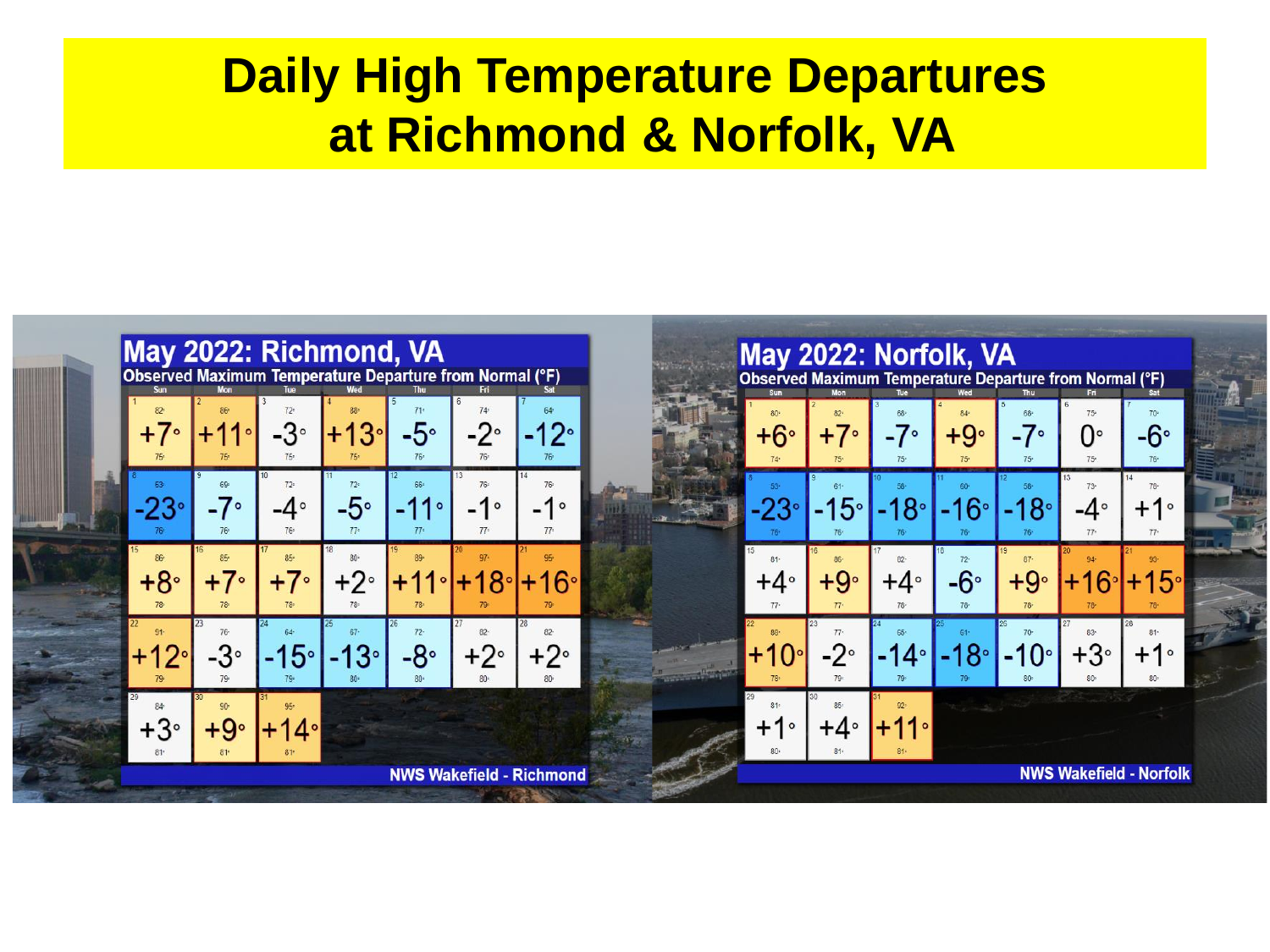# **Daily High Temperature Departures at Richmond & Norfolk, VA**